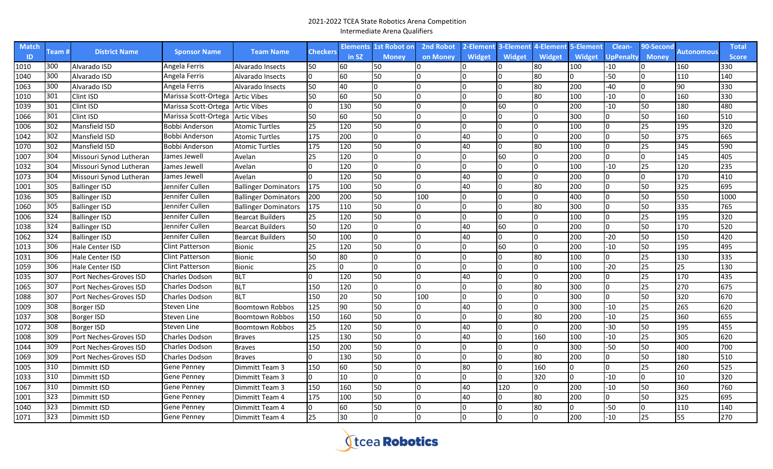| <b>Match</b> |        |                         |                        | <b>Team Name</b>            | Checkers | <b>Elements</b> | <b>1st Robot o</b> n | <b>2nd Robot</b> | 2-Element     | 3-Element     | 4-Element    | 5-Element     | Clean-    | 90-Second    |            | <b>Total</b>     |
|--------------|--------|-------------------------|------------------------|-----------------------------|----------|-----------------|----------------------|------------------|---------------|---------------|--------------|---------------|-----------|--------------|------------|------------------|
| ID           | Team # | <b>District Name</b>    | <b>Sponsor Name</b>    |                             |          | in SZ           | <b>Money</b>         | on Money         | <b>Widget</b> | <b>Widget</b> | Widget       | <b>Widget</b> | UpPenalty | <b>Money</b> | Autonomous | <b>Score</b>     |
| 1010         | 300    | Alvarado ISD            | Angela Ferris          | Alvarado Insects            | 50       | 160             | 50                   |                  |               |               | 80           | 100           | $-10$     |              | 160        | 330              |
| 1040         | 300    | Alvarado ISD            | Angela Ferris          | Alvarado Insects            |          | 160             | 50                   | I٥               |               |               | 80           | $\Omega$      | $-50$     |              | 110        | 140              |
| 1063         | 300    | Alvarado ISD            | Angela Ferris          | Alvarado Insects            | 50       | 40              | 0                    | I٥               |               |               | 80           | 200           | $-40$     |              | 90         | 330              |
| 1010         | 301    | Clint ISD               | Marissa Scott-Ortega   | <b>Artic Vibes</b>          | 50       | 60              | 50                   | l0               |               |               | 80           | 100           | $-10$     |              | 160        | 330              |
| 1039         | 301    | Clint ISD               | Marissa Scott-Ortega   | <b>Artic Vibes</b>          |          | 130             | 50                   | I٥               |               | 60            |              | 200           | $-10$     | 50           | 180        | 480              |
| 1066         | 301    | Clint ISD               | Marissa Scott-Ortega   | <b>Artic Vibes</b>          | 50       | 60              | 50                   | I٥               |               |               |              | 300           | lo        | 50           | 160        | 510              |
| 1006         | 302    | Mansfield ISD           | Bobbi Anderson         | <b>Atomic Turtles</b>       | 25       | 120             | 50                   | Io               |               | $\Omega$      | O            | 100           | l0        | 25           | 195        | $\overline{320}$ |
| 1042         | 302    | Mansfield ISD           | Bobbi Anderson         | <b>Atomic Turtles</b>       | 175      | 200             | $\overline{0}$       | I٥               | 40            | <sup>0</sup>  | $\Omega$     | 200           | lo        | 50           | 375        | 665              |
| 1070         | 302    | Mansfield ISD           | Bobbi Anderson         | <b>Atomic Turtles</b>       | 175      | 120             | 50                   | I٥               | 40            |               | 80           | 100           | I٥        | 25           | 345        | 590              |
| 1007         | 304    | Missouri Synod Lutheran | James Jewell           | Avelan                      | 25       | 120             | 0                    | Io               |               | 60            | $\Omega$     | 200           | lo        |              | 145        | 405              |
| 1032         | 304    | Missouri Synod Lutheran | James Jewell           | Avelan                      |          | 120             | 0                    | I۵               |               | n.            | O            | 100           | $-10$     | 25           | 120        | 235              |
| 1073         | 304    | Missouri Synod Lutheran | James Jewell           | Avelan                      |          | 120             | 50                   | I٥               | 40            |               | O            | 200           | I٥        |              | 170        | 410              |
| 1001         | 305    | <b>Ballinger ISD</b>    | Jennifer Cullen        | <b>Ballinger Dominators</b> | 175      | 100             | 50                   | In               | 40            | <sup>n</sup>  | 80           | 200           | I٥        | 50           | 325        | 695              |
| 1036         | 305    | <b>Ballinger ISD</b>    | Jennifer Cullen        | <b>Ballinger Dominators</b> | 200      | 200             | 50                   | 100              |               | $\Omega$      | $\Omega$     | 400           | I٥        | 50           | 550        | 1000             |
| 1060         | 305    | <b>Ballinger ISD</b>    | Jennifer Cullen        | <b>Ballinger Dominators</b> | 175      | 110             | 50                   | In               |               | $\Omega$      | 80           | 300           | I٥        | 50           | 335        | 765              |
| 1006         | 324    | <b>Ballinger ISD</b>    | Jennifer Cullen        | <b>Bearcat Builders</b>     | 25       | 120             | 50                   | l0               |               | n.            | $\Omega$     | 100           | lo        | 25           | 195        | 320              |
| 1038         | 324    | <b>Ballinger ISD</b>    | Jennifer Cullen        | <b>Bearcat Builders</b>     | 50       | 120             | 0                    | I٥               | 40            | 60            | O            | 200           | lo        | 50           | 170        | $\overline{520}$ |
| 1062         | 324    | <b>Ballinger ISD</b>    | Jennifer Cullen        | <b>Bearcat Builders</b>     | 50       | 100             | 0                    | I٥               | 40            | $\Omega$      | $\Omega$     | 200           | $-20$     | 50           | 150        | 420              |
| 1013         | 306    | Hale Center ISD         | Clint Patterson        | <b>Bionic</b>               | 25       | 120             | 50                   | I0               |               | 60            | U            | 200           | $-10$     | 50           | 195        | 495              |
| 1031         | 306    | <b>Hale Center ISD</b>  | <b>Clint Patterson</b> | <b>Bionic</b>               | 50       | 180             | 0                    | I٥               |               |               | 80           | 100           | l0        | 25           | 130        | 335              |
| 1059         | 306    | <b>Hale Center ISD</b>  | Clint Patterson        | <b>Bionic</b>               | 25       | IО              | 0                    | I0               |               |               | n            | 100           | $-20$     | 25           | 25         | 130              |
| 1035         | 307    | Port Neches-Groves ISD  | Charles Dodson         | <b>BLT</b>                  |          | 120             | 50                   | Io               | 40            |               | l0.          | 200           | l0        | 25           | 170        | 435              |
| 1065         | 307    | Port Neches-Groves ISD  | Charles Dodson         | <b>BLT</b>                  | 150      | 120             | 0                    | l0               |               |               | 80           | 300           | I0        | 25           | 270        | 675              |
| 1088         | 307    | Port Neches-Groves ISD  | Charles Dodson         | <b>BLT</b>                  | 150      | 20              | 50                   | 100              |               |               | <sup>0</sup> | 300           | l0        | 50           | 320        | 670              |
| 1009         | 308    | <b>Borger ISD</b>       | Steven Line            | Boomtown Robbos             | 125      | 90              | 50                   | ın               | 40            | IO.           | <sup>0</sup> | 300           | $-10$     | 25           | 265        | 620              |
| 1037         | 308    | Borger ISD              | Steven Line            | Boomtown Robbos             | 150      | 160             | 50                   | ın               |               | IO.           | 80           | 200           | -10       | 25           | 360        | 655              |
| 1072         | 308    | <b>Borger ISD</b>       | Steven Line            | Boomtown Robbos             | 25       | 120             | 50                   | In               | 40            |               |              | 200           | $-30$     | 50           | 195        | 455              |
| 1008         | 309    | Port Neches-Groves ISD  | Charles Dodson         | <b>Braves</b>               | 125      | 130             | 50                   | In               | 40            |               | 160          | 100           | $-10$     | 25           | 305        | 620              |
| 1044         | 309    | Port Neches-Groves ISD  | Charles Dodson         | Braves                      | 150      | 200             | 50                   | I٥               |               |               | U            | 300           | $-50$     | 50           | 400        | 700              |
| 1069         | 309    | Port Neches-Groves ISD  | Charles Dodson         | <b>Braves</b>               |          | 130             | 50                   | I٥               |               |               | 80           | 200           | I٥        | 50           | 180        | 510              |
| 1005         | 310    | Dimmitt ISD             | Gene Penney            | Dimmitt Team 3              | 150      | 60              | 50                   | I۵               | 80            |               | 160          | $\Omega$      | I٥        | 25           | 260        | 525              |
| 1033         | 310    | Dimmitt ISD             | Gene Penney            | Dimmitt Team 3              |          | 10              | 0                    | I٥               |               | $\Omega$      | 320          | 0             | $-10$     |              | 10         | 320              |
| 1067         | 310    | Dimmitt ISD             | Gene Penney            | Dimmitt Team 3              | 150      | 160             | 50                   | I٥               | 40            | 120           | U            | 200           | $-10$     | 50           | 360        | 760              |
| 1001         | 323    | Dimmitt ISD             | Gene Penney            | Dimmitt Team 4              | 175      | 100             | 50                   | In               | 40            |               | 80           | 200           | lo        | 50           | 325        | 695              |
| 1040         | 323    | Dimmitt ISD             | Gene Penney            | Dimmitt Team 4              |          | 60              | 50                   | I٥               |               |               | 80           | 0             | $-50$     |              | 110        | 140              |
| 1071         | 323    | Dimmitt ISD             | Gene Pennev            | Dimmitt Team 4              | 25       | 30              | l0                   |                  |               |               | <sup>n</sup> | 200           | $-10$     | 25           | 55         | 270              |

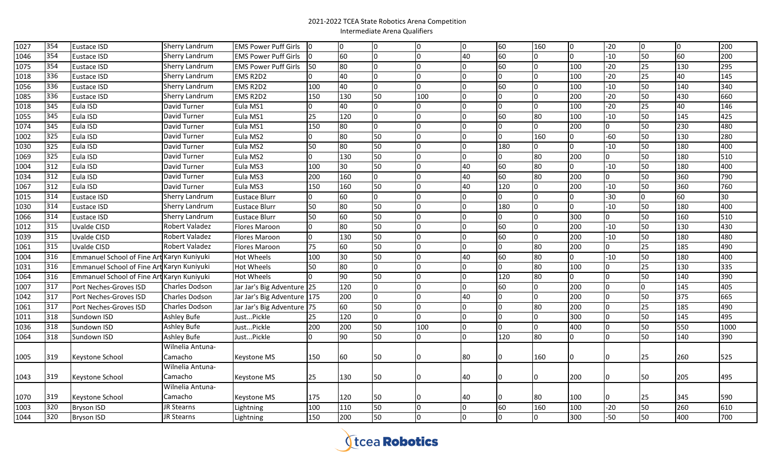| 1027 | 354 | Eustace ISD                                | Sherry Landrum        | <b>EMS Power Puff Girls</b> | IО           | IО  | Io              | In. | 0            | 60             | 160 | I0  | $-20$        | I0. | 0   | 200  |
|------|-----|--------------------------------------------|-----------------------|-----------------------------|--------------|-----|-----------------|-----|--------------|----------------|-----|-----|--------------|-----|-----|------|
| 1046 | 354 | Eustace ISD                                | Sherry Landrum        | <b>EMS Power Puff Girls</b> | <b>O</b>     | 60  | lo.             |     | 40           | 60             | lo. | lo. | $-10$        | 50  | 60  | 200  |
| 1075 | 354 | Eustace ISD                                | Sherry Landrum        | <b>EMS Power Puff Girls</b> | 50           | 80  | I٥              | I٥  |              | 60             | I٥  | 100 | $-20$        | 25  | 130 | 295  |
| 1018 | 336 | Eustace ISD                                | Sherry Landrum        | EMS R2D2                    |              | 40  | $\overline{0}$  | I∩  |              | 0              | I٥  | 100 | $-20$        | 25  | 40  | 145  |
| 1056 | 336 | Eustace ISD                                | Sherry Landrum        | EMS R2D2                    | 100          | 40  | 0               | n.  |              | 60             | lo. | 100 | $-10$        | 50  | 140 | 340  |
| 1085 | 336 | Eustace ISD                                | Sherry Landrum        | EMS R2D2                    | 150          | 130 | 50              | 100 |              | $\Omega$       | lo. | 200 | $-20$        | 50  | 430 | 660  |
| 1018 | 345 | Eula ISD                                   | David Turner          | Eula MS1                    |              | 40  | lo.             | n   |              | $\Omega$       | I٥  | 100 | $-20$        | 25  | 40  | 146  |
| 1055 | 345 | Eula ISD                                   | David Turner          | Eula MS1                    | 25           | 120 | lo.             | I٥  |              | 60             | 80  | 100 | $-10$        | 50  | 145 | 425  |
| 1074 | 345 | Eula ISD                                   | David Turner          | Eula MS1                    | 150          | 80  | lo.             | I٥  |              | <b>O</b>       | l0. | 200 |              | 50  | 230 | 480  |
| 1002 | 325 | Eula ISD                                   | David Turner          | Eula MS2                    | <sup>0</sup> | 80  | 50              | I∩  | n            | $\Omega$       | 160 | lo. | $-60$        | 50  | 130 | 280  |
| 1030 | 325 | Eula ISD                                   | David Turner          | Eula MS2                    | 50           | 80  | 50              | I٥  | $\Omega$     | 180            | Io. | 0   | $-10$        | 50  | 180 | 400  |
| 1069 | 325 | Eula ISD                                   | David Turner          | Eula MS2                    | $\mathbf{0}$ | 130 | $\overline{50}$ | Iо  | $\Omega$     | 0              | 80  | 200 |              | 50  | 180 | 510  |
| 1004 | 312 | Eula ISD                                   | David Turner          | Eula MS3                    | 100          | 30  | 50              | Io. | 40           | 60             | 80  | 0   | $-10$        | 50  | 180 | 400  |
| 1034 | 312 | Eula ISD                                   | David Turner          | Eula MS3                    | 200          | 160 | 0               | I∩  | 40           | 60             | 80  | 200 |              | 50  | 360 | 790  |
| 1067 | 312 | Eula ISD                                   | David Turner          | Eula MS3                    | 150          | 160 | 50              | I∩  | 40           | 120            | lo. | 200 | $-10$        | 50  | 360 | 760  |
| 1015 | 314 | Eustace ISD                                | Sherry Landrum        | <b>Eustace Blurr</b>        | 0            | 60  | 0               | I٥  | O            | 0              | lo. | l0  | $-30$        | I٥  | 60  | 30   |
| 1030 | 314 | Eustace ISD                                | Sherry Landrum        | <b>Eustace Blurr</b>        | 50           | 80  | 50              | I0. | $\Omega$     | 180            | Iо  | lo. | $-10$        | 50  | 180 | 400  |
| 1066 | 314 | Eustace ISD                                | Sherry Landrum        | <b>Eustace Blurr</b>        | 50           | 60  | 50              | IО  |              | 0              | Iо  | 300 | <sup>0</sup> | 50  | 160 | 510  |
| 1012 | 315 | Uvalde CISD                                | Robert Valadez        | Flores Maroon               | 0            | 80  | 50              | I0. | <sup>0</sup> | 60             | Iо  | 200 | $-10$        | 50  | 130 | 430  |
| 1039 | 315 | Uvalde CISD                                | Robert Valadez        | Flores Maroon               | 0            | 130 | 50              | IО  | 0            | 60             | Iо  | 200 | $-10$        | 50  | 180 | 480  |
| 1061 | 315 | Uvalde CISD                                | Robert Valadez        | Flores Maroon               | 75           | 60  | 50              | I٥  | l0.          | $\Omega$       | 80  | 200 |              | 25  | 185 | 490  |
| 1004 | 316 | Emmanuel School of Fine Art Karyn Kuniyuki |                       | <b>Hot Wheels</b>           | 100          | 30  | 50              | I٥  | 40           | 60             | 80  | l0  | $-10$        | 50  | 180 | 400  |
| 1031 | 316 | Emmanuel School of Fine Art Karyn Kuniyuki |                       | <b>Hot Wheels</b>           | 50           | 80  | l0              |     |              | 0              | 80  | 100 |              | 25  | 130 | 335  |
| 1064 | 316 | Emmanuel School of Fine Art Karyn Kuniyuki |                       | <b>Hot Wheels</b>           |              | 90  | 50              |     |              | 120            | 80  | l0  |              | 50  | 140 | 390  |
| 1007 | 317 | Port Neches-Groves ISD                     | Charles Dodson        | Jar Jar's Big Adventure 25  |              | 120 | l0              |     |              | 60             | 0   | 200 |              | I٥  | 145 | 405  |
| 1042 | 317 | Port Neches-Groves ISD                     | <b>Charles Dodson</b> | Jar Jar's Big Adventure 175 |              | 200 | 0               | I∩  | 40           | 0              | Io. | 200 |              | 50  | 375 | 665  |
| 1061 | 317 | Port Neches-Groves ISD                     | <b>Charles Dodson</b> | Jar Jar's Big Adventure 75  |              | 60  | 50              | I∩  | <sup>0</sup> | $\overline{0}$ | 80  | 200 |              | 25  | 185 | 490  |
| 1011 | 318 | Sundown ISD                                | Ashley Bufe           | JustPickle                  | 25           | 120 | 0               | I∩  |              | $\Omega$       | I٥  | 300 |              | 50  | 145 | 495  |
| 1036 | 318 | Sundown ISD                                | <b>Ashley Bufe</b>    | JustPickle                  | 200          | 200 | 50              | 100 |              | 0              | 0   | 400 |              | 50  | 550 | 1000 |
| 1064 | 318 | Sundown ISD                                | <b>Ashley Bufe</b>    | JustPickle                  |              | 90  | 50              | n.  | n.           | 120            | 80  | l0  |              | 50  | 140 | 390  |
|      |     |                                            | Wilnelia Antuna-      |                             |              |     |                 |     |              |                |     |     |              |     |     |      |
| 1005 | 319 | Keystone School                            | Camacho               | Keystone MS                 | 150          | 160 | 50              |     | 80           |                | 160 | IO. |              | 25  | 260 | 525  |
|      |     |                                            | Wilnelia Antuna-      |                             |              |     |                 |     |              |                |     |     |              |     |     |      |
| 1043 | 319 | Keystone School                            | Camacho               | Keystone MS                 | 25           | 130 | 50              |     | 40           |                |     | 200 |              | 150 | 205 | 495  |
|      |     |                                            | Wilnelia Antuna-      |                             |              |     |                 |     |              |                |     |     |              |     |     |      |
| 1070 | 319 | Keystone School                            | Camacho               | Keystone MS                 | 175          | 120 | 50              |     | 40           |                | 180 | 100 |              | 25  | 345 | 590  |
| 1003 | 320 | <b>Bryson ISD</b>                          | JR Stearns            | Lightning                   | 100          | 110 | 50              | IО  | 0            | 60             | 160 | 100 | $-20$        | 50  | 260 | 610  |
| 1044 | 320 | <b>Bryson ISD</b>                          | JR Stearns            | Lightning                   | 150          | 200 | 50              | I0  | l0.          |                | lo. | 300 | $-50$        | 50  | 400 | 700  |

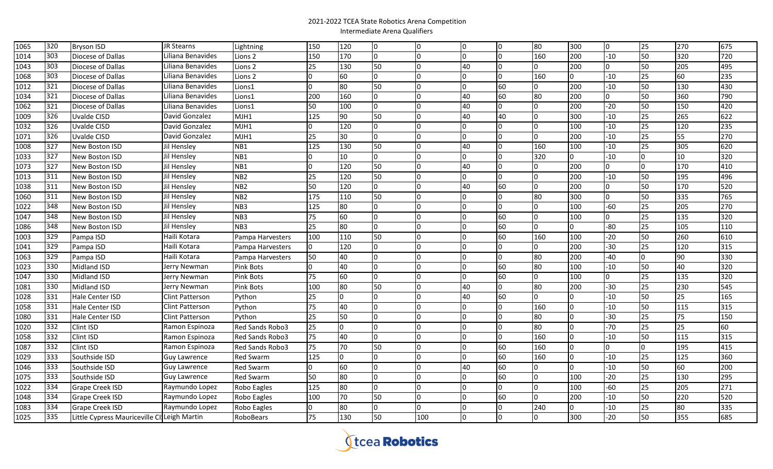| 1065 | 320 | <b>Bryson ISD</b>                           | JR Stearns          | Lightning              | 150          | 120 | Iо  |     | 0              | l0       | 80           | 300            | 0            | 25 | 270 | 675 |
|------|-----|---------------------------------------------|---------------------|------------------------|--------------|-----|-----|-----|----------------|----------|--------------|----------------|--------------|----|-----|-----|
| 1014 | 303 | Diocese of Dallas                           | Liliana Benavides   | Lions 2                | 150          | 170 | Iо  |     | $\Omega$       | l0.      | 160          | 200            | $-10$        | 50 | 320 | 720 |
| 1043 | 303 | Diocese of Dallas                           | Liliana Benavides   | Lions 2                | 25           | 130 | 50  |     | 40             | <b>0</b> | n.           | 200            | 0            | 50 | 205 | 495 |
| 1068 | 303 | Diocese of Dallas                           | Liliana Benavides   | Lions 2                |              | 60  | lo. |     | l0             | IO.      | 160          | <sup>0</sup>   | $-10$        | 25 | 60  | 235 |
| 1012 | 321 | Diocese of Dallas                           | Liliana Benavides   | Lions1                 | $\Omega$     | 80  | 50  |     | l0             | 60       | n.           | 200            | $-10$        | 50 | 130 | 430 |
| 1034 | 321 | Diocese of Dallas                           | Liliana Benavides   | Lions1                 | 200          | 160 | Iо  |     | 40             | 60       | 80           | 200            | O            | 50 | 360 | 790 |
| 1062 | 321 | Diocese of Dallas                           | Liliana Benavides   | Lions1                 | 50           | 100 | Iо  |     | 40             | <u>0</u> |              | 200            | $-20$        | 50 | 150 | 420 |
| 1009 | 326 | Uvalde CISD                                 | David Gonzalez      | MJH1                   | 125          | 90  | 50  |     | 40             | 40       | l0           | 300            | $-10$        | 25 | 265 | 622 |
| 1032 | 326 | Uvalde CISD                                 | David Gonzalez      | MJH1                   |              | 120 | lo. |     | l0             | <b>0</b> | I0           | 100            | $-10$        | 25 | 120 | 235 |
| 1071 | 326 | Uvalde CISD                                 | David Gonzalez      | MJH1                   | 25           | 30  | lo. |     | l <sub>0</sub> | l0       | n.           | 200            | $-10$        | 25 | 55  | 270 |
| 1008 | 327 | New Boston ISD                              | Jil Hensley         | NB1                    | 125          | 130 | 50  |     | 40             | l0       | 160          | 100            | $-10$        | 25 | 305 | 620 |
| 1033 | 327 | New Boston ISD                              | Jil Hensley         | NB1                    |              | 10  | I٥  |     | l <sub>0</sub> | <u>0</u> | 320          | $\overline{0}$ | $-10$        |    | 10  | 320 |
| 1073 | 327 | New Boston ISD                              | Jil Hensley         | NB1                    | <sup>n</sup> | 120 | 50  |     | 40             | 0        | In.          | 200            | <sup>n</sup> |    | 170 | 410 |
| 1013 | 311 | New Boston ISD                              | Jil Hensley         | NB <sub>2</sub>        | 25           | 120 | 50  |     | l0             | <u>0</u> | l0           | 200            | $-10$        | 50 | 195 | 496 |
| 1038 | 311 | New Boston ISD                              | Jil Hensley         | NB <sub>2</sub>        | 50           | 120 | lo. |     | 40             | 60       | n            | 200            |              | 50 | 170 | 520 |
| 1060 | 311 | New Boston ISD                              | Jil Hensley         | NB <sub>2</sub>        | 175          | 110 | 50  |     |                | I٥       | 80           | 300            |              | 50 | 335 | 765 |
| 1022 | 348 | New Boston ISD                              | Jil Hensley         | NB <sub>3</sub>        | 125          | 80  | lo. |     |                | 0        | <b>O</b>     | 100            | $-60$        | 25 | 205 | 270 |
| 1047 | 348 | New Boston ISD                              | Jil Hensley         | NB3                    | 75           | 60  | Iо  |     |                | 60       | IO.          | 100            | U            | 25 | 135 | 320 |
| 1086 | 348 | New Boston ISD                              | Jil Hensley         | NB <sub>3</sub>        | 25           | 80  | lo. |     |                | 60       | $\Omega$     | 0              | $-80$        | 25 | 105 | 110 |
| 1003 | 329 | Pampa ISD                                   | Haili Kotara        | Pampa Harvesters       | 100          | 110 | 50  |     |                | 60       | 160          | 100            | $-20$        | 50 | 260 | 610 |
| 1041 | 329 | Pampa ISD                                   | Haili Kotara        | Pampa Harvesters       | $\Omega$     | 120 | Iо  |     | l0             | <b>0</b> | <sup>0</sup> | 200            | $-30$        | 25 | 120 | 315 |
| 1063 | 329 | Pampa ISD                                   | Haili Kotara        | Pampa Harvesters       | 50           | 40  | Iо  |     |                | I0.      | 80           | 200            | -40          |    | 90  | 330 |
| 1023 | 330 | Midland ISD                                 | Jerry Newman        | Pink Bots              |              | 40  | Iо  |     |                | 60       | 80           | 100            | $-10$        | 50 | 40  | 320 |
| 1047 | 330 | Midland ISD                                 | Jerry Newman        | Pink Bots              | 75           | 60  | Iо  |     |                | 60       | n.           | 100            | O.           | 25 | 135 | 320 |
| 1081 | 330 | Midland ISD                                 | Jerry Newman        | Pink Bots              | 100          | 80  | 50  |     | 40             | 0        | 80           | 200            | $-30$        | 25 | 230 | 545 |
| 1028 | 331 | Hale Center ISD                             | Clint Patterson     | Python                 | 25           |     | Io. |     | 40             | 60       | In.          | $\Omega$       | $-10$        | 50 | 25  | 165 |
| 1058 | 331 | Hale Center ISD                             | Clint Patterson     | Python                 | 75           | 40  | Io. |     |                | IO.      | 160          | <sup>0</sup>   | $-10$        | 50 | 115 | 315 |
| 1080 | 331 | Hale Center ISD                             | Clint Patterson     | Python                 | 25           | 50  | Io. |     |                | l O      | 80           | <sup>0</sup>   | $-30$        | 25 | 75  | 150 |
| 1020 | 332 | Clint ISD                                   | Ramon Espinoza      | Red Sands Robo3        | 25           |     | Iо  |     |                | 0        | 80           | $\Omega$       | $-70$        | 25 | 25  | 60  |
| 1058 | 332 | Clint ISD                                   | Ramon Espinoza      | <b>Red Sands Robo3</b> | 75           | 40  | l0  |     |                | l0       | 160          | $\Omega$       | $-10$        | 50 | 115 | 315 |
| 1087 | 332 | <b>Clint ISD</b>                            | Ramon Espinoza      | Red Sands Robo3        | 75           | 70  | 50  |     |                | 60       | 160          | $\overline{0}$ |              |    | 195 | 415 |
| 1029 | 333 | Southside ISD                               | <b>Guy Lawrence</b> | Red Swarm              | 125          |     | Iо  |     |                | 60       | 160          | 0              | -10          | 25 | 125 | 360 |
| 1046 | 333 | Southside ISD                               | <b>Guy Lawrence</b> | <b>Red Swarm</b>       |              | 60  | I٥  |     | 40             | 60       | IO.          | 0              | $-10$        | 50 | 60  | 200 |
| 1075 | 333 | Southside ISD                               | <b>Guy Lawrence</b> | Red Swarm              | 50           | 80  | Io. |     |                | 60       | <b>O</b>     | 100            | $-20$        | 25 | 130 | 295 |
| 1022 | 334 | <b>Grape Creek ISD</b>                      | Raymundo Lopez      | Robo Eagles            | 125          | 80  | Iо  |     |                | 0        | IO.          | 100            | $-60$        | 25 | 205 | 271 |
| 1048 | 334 | <b>Grape Creek ISD</b>                      | Raymundo Lopez      | Robo Eagles            | 100          | 70  | 50  |     |                | 60       | n.           | 200            | $-10$        | 50 | 220 | 520 |
| 1083 | 334 | <b>Grape Creek ISD</b>                      | Raymundo Lopez      | Robo Eagles            |              | 80  | lo. |     | n              | IO.      | 240          | 0              | $-10$        | 25 | 80  | 335 |
| 1025 | 335 | Little Cypress Mauriceville CliLeigh Martin |                     | RoboBears              | 75           | 130 | 50  | 100 | 0              | 0        | IO.          | 300            | $-20$        | 50 | 355 | 685 |

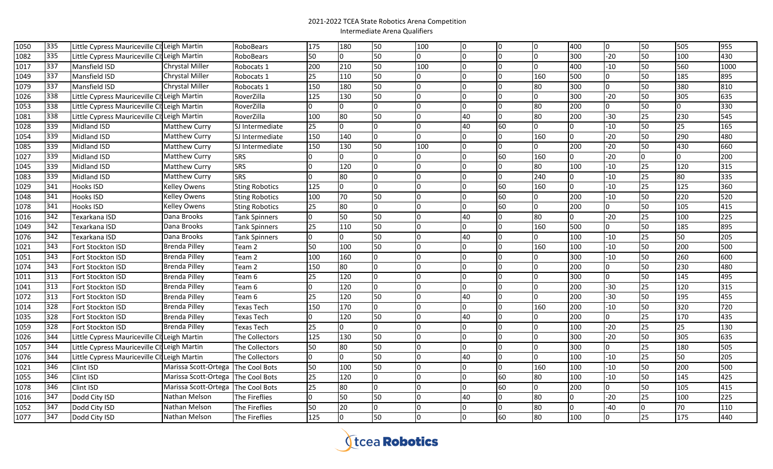| 1050 | 335 | Little Cypress Mauriceville CI Leigh Martin |                        | RoboBears             | 175 | 180 | 50  | 100 | 0            | 0              | Io.          | 400              | IO.   | 50 | 505 | 955  |
|------|-----|---------------------------------------------|------------------------|-----------------------|-----|-----|-----|-----|--------------|----------------|--------------|------------------|-------|----|-----|------|
| 1082 | 335 | Little Cypress Mauriceville CI Leigh Martin |                        | RoboBears             | 50  | n.  | 50  |     | n            | Io.            | I٥           | 300              | $-20$ | 50 | 100 | 430  |
| 1017 | 337 | Mansfield ISD                               | <b>Chrystal Miller</b> | Robocats 1            | 200 | 210 | 50  | 100 | 0            | $\overline{0}$ | IO.          | 400              | $-10$ | 50 | 560 | 1000 |
| 1049 | 337 | Mansfield ISD                               | <b>Chrystal Miller</b> | Robocats 1            | 25  | 110 | 50  |     | O            | 0              | 160          | 500              |       | 50 | 185 | 895  |
| 1079 | 337 | Mansfield ISD                               | <b>Chrystal Miller</b> | Robocats 1            | 150 | 180 | 50  |     |              | $\Omega$       | 80           | 300              |       | 50 | 380 | 810  |
| 1026 | 338 | Little Cypress Mauriceville CliLeigh Martin |                        | RoverZilla            | 125 | 130 | 50  |     |              |                | n.           | 300              | $-20$ | 50 | 305 | 635  |
| 1053 | 338 | Little Cypress Mauriceville CliLeigh Martin |                        | RoverZilla            |     |     | lo. |     |              |                | 80           | 200              |       | 50 |     | 330  |
| 1081 | 338 | Little Cypress Mauriceville CI Leigh Martin |                        | RoverZilla            | 100 | 80  | 50  |     | 40           | <sup>0</sup>   | 80           | 200              | $-30$ | 25 | 230 | 545  |
| 1028 | 339 | Midland ISD                                 | <b>Matthew Curry</b>   | SJ Intermediate       | 25  | n.  | lo. |     | 40           | 60             | I٥           | l0.              | $-10$ | 50 | 25  | 165  |
| 1054 | 339 | Midland ISD                                 | <b>Matthew Curry</b>   | SJ Intermediate       | 150 | 140 | lo. |     | <sup>0</sup> | $\Omega$       | 160          | lo.              | $-20$ | 50 | 290 | 480  |
| 1085 | 339 | Midland ISD                                 | <b>Matthew Curry</b>   | SJ Intermediate       | 150 | 130 | 50  | 100 | n            | $\overline{0}$ | <sup>0</sup> | 200              | $-20$ | 50 | 430 | 660  |
| 1027 | 339 | Midland ISD                                 | <b>Matthew Curry</b>   | <b>SRS</b>            |     | n.  | 0   |     |              | 60             | 160          | l0.              | $-20$ | I٥ | l0. | 200  |
| 1045 | 339 | Midland ISD                                 | <b>Matthew Curry</b>   | <b>SRS</b>            | n   | 120 | Iо  |     |              | n.             | 80           | 100              | $-10$ | 25 | 120 | 315  |
| 1083 | 339 | Midland ISD                                 | <b>Matthew Curry</b>   | <b>SRS</b>            | 0   | 80  | l0. |     | n            | $\Omega$       | 240          | $\Omega$         | $-10$ | 25 | 80  | 335  |
| 1029 | 341 | Hooks ISD                                   | Kelley Owens           | <b>Sting Robotics</b> | 125 | n.  | l0  |     |              | 60             | 160          | $\Omega$         | $-10$ | 25 | 125 | 360  |
| 1048 | 341 | <b>Hooks ISD</b>                            | <b>Kelley Owens</b>    | <b>Sting Robotics</b> | 100 | 70  | 50  |     |              | 60             | I٥           | 200              | $-10$ | 50 | 220 | 520  |
| 1078 | 341 | Hooks ISD                                   | Kelley Owens           | <b>Sting Robotics</b> | 25  | 80  | l0  |     | $\Omega$     | 60             | lo.          | 200              |       | 50 | 105 | 415  |
| 1016 | 342 | Texarkana ISD                               | Dana Brooks            | <b>Tank Spinners</b>  | 0   | 50  | 50  |     | 40           | $\Omega$       | 80           | $\Omega$         | $-20$ | 25 | 100 | 225  |
| 1049 | 342 | Texarkana ISD                               | Dana Brooks            | <b>Tank Spinners</b>  | 25  | 110 | 50  |     | $\Omega$     | $\Omega$       | 160          | 500              |       | 50 | 185 | 895  |
| 1076 | 342 | Texarkana ISD                               | Dana Brooks            | <b>Tank Spinners</b>  | 0   | 0   | 50  | I۵  | 40           | 0              | 0            | 100              | $-10$ | 25 | 50  | 205  |
| 1021 | 343 | <b>Fort Stockton ISD</b>                    | Brenda Pilley          | Team 2                | 50  | 100 | 50  |     | <sup>0</sup> | $\Omega$       | 160          | 100              | $-10$ | 50 | 200 | 500  |
| 1051 | 343 | <b>Fort Stockton ISD</b>                    | Brenda Pilley          | Team 2                | 100 | 160 | Iо  |     |              | <sup>0</sup>   | 0            | 300              | $-10$ | 50 | 260 | 600  |
| 1074 | 343 | Fort Stockton ISD                           | Brenda Pilley          | Team 2                | 150 | 80  | Io. |     |              | n.             | I٥           | 200              |       | 50 | 230 | 480  |
| 1011 | 313 | <b>Fort Stockton ISD</b>                    | <b>Brenda Pilley</b>   | Team 6                | 25  | 120 | Iо  |     |              | I٥             | Iо           | 300              |       | 50 | 145 | 495  |
| 1041 | 313 | <b>Fort Stockton ISD</b>                    | Brenda Pilley          | Team 6                |     | 120 | I٥  |     | l0.          | IO.            | Iо           | 200              | $-30$ | 25 | 120 | 315  |
| 1072 | 313 | <b>Fort Stockton ISD</b>                    | Brenda Pilley          | Team 6                | 25  | 120 | 50  |     | 40           | $\Omega$       | I٥           | 200              | $-30$ | 50 | 195 | 455  |
| 1014 | 328 | <b>Fort Stockton ISD</b>                    | <b>Brenda Pilley</b>   | Texas Tech            | 150 | 170 | l0  |     | $\Omega$     | $\Omega$       | 160          | 200              | $-10$ | 50 | 320 | 720  |
| 1035 | 328 | Fort Stockton ISD                           | <b>Brenda Pilley</b>   | Texas Tech            |     | 120 | 50  |     | 40           | l O            | l0.          | 200              |       | 25 | 170 | 435  |
| 1059 | 328 | <b>Fort Stockton ISD</b>                    | Brenda Pilley          | Texas Tech            | 25  |     | 0   |     | $\Omega$     | $\overline{0}$ | Io.          | 100              | $-20$ | 25 | 25  | 130  |
| 1026 | 344 | Little Cypress Mauriceville CliLeigh Martin |                        | The Collectors        | 125 | 130 | 50  |     |              | <sup>0</sup>   | $\Omega$     | $\overline{300}$ | $-20$ | 50 | 305 | 635  |
| 1057 | 344 | Little Cypress Mauriceville CliLeigh Martin |                        | The Collectors        | 50  | 80  | 50  |     |              | <sup>0</sup>   | l0.          | 300              |       | 25 | 180 | 505  |
| 1076 | 344 | Little Cypress Mauriceville CI Leigh Martin |                        | <b>The Collectors</b> |     |     | 50  |     | 40           | $\Omega$       | n.           | 100              | $-10$ | 25 | 50  | 205  |
| 1021 | 346 | Clint ISD                                   | Marissa Scott-Ortega   | The Cool Bots         | 50  | 100 | 50  |     | <sup>0</sup> | $\Omega$       | 160          | 100              | $-10$ | 50 | 200 | 500  |
| 1055 | 346 | Clint ISD                                   | Marissa Scott-Ortega   | The Cool Bots         | 25  | 120 | Iо  |     |              | 60             | 80           | 100              | $-10$ | 50 | 145 | 425  |
| 1078 | 346 | <b>Clint ISD</b>                            | Marissa Scott-Ortega   | The Cool Bots         | 25  | 80  | l0  |     | n            | 60             | I٥           | 200              |       | 50 | 105 | 415  |
| 1016 | 347 | Dodd City ISD                               | Nathan Melson          | The Fireflies         |     | 50  | 50  |     | 40           | $\Omega$       | 80           | l0.              | $-20$ | 25 | 100 | 225  |
| 1052 | 347 | Dodd City ISD                               | Nathan Melson          | The Fireflies         | 50  | 20  | l0. |     | l0.          | $\Omega$       | 80           | $\Omega$         | $-40$ | I٥ | 70  | 110  |
| 1077 | 347 | Dodd City ISD                               | Nathan Melson          | The Fireflies         | 125 | n.  | 50  |     | 0            | 60             | 80           | 100              |       | 25 | 175 | 440  |